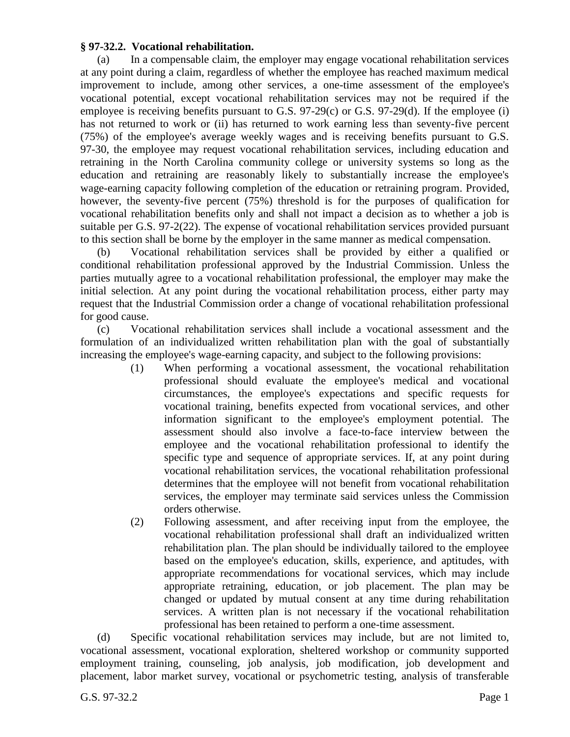## **§ 97-32.2. Vocational rehabilitation.**

(a) In a compensable claim, the employer may engage vocational rehabilitation services at any point during a claim, regardless of whether the employee has reached maximum medical improvement to include, among other services, a one-time assessment of the employee's vocational potential, except vocational rehabilitation services may not be required if the employee is receiving benefits pursuant to G.S. 97-29(c) or G.S. 97-29(d). If the employee (i) has not returned to work or (ii) has returned to work earning less than seventy-five percent (75%) of the employee's average weekly wages and is receiving benefits pursuant to G.S. 97-30, the employee may request vocational rehabilitation services, including education and retraining in the North Carolina community college or university systems so long as the education and retraining are reasonably likely to substantially increase the employee's wage-earning capacity following completion of the education or retraining program. Provided, however, the seventy-five percent (75%) threshold is for the purposes of qualification for vocational rehabilitation benefits only and shall not impact a decision as to whether a job is suitable per G.S. 97-2(22). The expense of vocational rehabilitation services provided pursuant to this section shall be borne by the employer in the same manner as medical compensation.

(b) Vocational rehabilitation services shall be provided by either a qualified or conditional rehabilitation professional approved by the Industrial Commission. Unless the parties mutually agree to a vocational rehabilitation professional, the employer may make the initial selection. At any point during the vocational rehabilitation process, either party may request that the Industrial Commission order a change of vocational rehabilitation professional for good cause.

(c) Vocational rehabilitation services shall include a vocational assessment and the formulation of an individualized written rehabilitation plan with the goal of substantially increasing the employee's wage-earning capacity, and subject to the following provisions:

- (1) When performing a vocational assessment, the vocational rehabilitation professional should evaluate the employee's medical and vocational circumstances, the employee's expectations and specific requests for vocational training, benefits expected from vocational services, and other information significant to the employee's employment potential. The assessment should also involve a face-to-face interview between the employee and the vocational rehabilitation professional to identify the specific type and sequence of appropriate services. If, at any point during vocational rehabilitation services, the vocational rehabilitation professional determines that the employee will not benefit from vocational rehabilitation services, the employer may terminate said services unless the Commission orders otherwise.
- (2) Following assessment, and after receiving input from the employee, the vocational rehabilitation professional shall draft an individualized written rehabilitation plan. The plan should be individually tailored to the employee based on the employee's education, skills, experience, and aptitudes, with appropriate recommendations for vocational services, which may include appropriate retraining, education, or job placement. The plan may be changed or updated by mutual consent at any time during rehabilitation services. A written plan is not necessary if the vocational rehabilitation professional has been retained to perform a one-time assessment.

(d) Specific vocational rehabilitation services may include, but are not limited to, vocational assessment, vocational exploration, sheltered workshop or community supported employment training, counseling, job analysis, job modification, job development and placement, labor market survey, vocational or psychometric testing, analysis of transferable